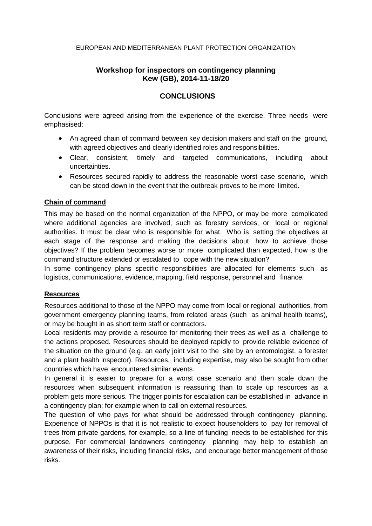#### EUROPEAN AND MEDITERRANEAN PLANT PROTECTION ORGANIZATION

# **Workshop for inspectors on contingency planning Kew (GB), 2014-11-18/20**

## **CONCLUSIONS**

Conclusions were agreed arising from the experience of the exercise. Three needs were emphasised:

- An agreed chain of command between key decision makers and staff on the ground, with agreed objectives and clearly identified roles and responsibilities.
- Clear, consistent, timely and targeted communications, including about uncertainties.
- Resources secured rapidly to address the reasonable worst case scenario, which can be stood down in the event that the outbreak proves to be more limited.

### **Chain of command**

This may be based on the normal organization of the NPPO, or may be more complicated where additional agencies are involved, such as forestry services, or local or regional authorities. It must be clear who is responsible for what. Who is setting the objectives at each stage of the response and making the decisions about how to achieve those objectives? If the problem becomes worse or more complicated than expected, how is the command structure extended or escalated to cope with the new situation?

In some contingency plans specific responsibilities are allocated for elements such as logistics, communications, evidence, mapping, field response, personnel and finance.

### **Resources**

Resources additional to those of the NPPO may come from local or regional authorities, from government emergency planning teams, from related areas (such as animal health teams), or may be bought in as short term staff or contractors.

Local residents may provide a resource for monitoring their trees as well as a challenge to the actions proposed. Resources should be deployed rapidly to provide reliable evidence of the situation on the ground (e.g. an early joint visit to the site by an entomologist, a forester and a plant health inspector). Resources, including expertise, may also be sought from other countries which have encountered similar events.

In general it is easier to prepare for a worst case scenario and then scale down the resources when subsequent information is reassuring than to scale up resources as a problem gets more serious. The trigger points for escalation can be established in advance in a contingency plan; for example when to call on external resources.

The question of who pays for what should be addressed through contingency planning. Experience of NPPOs is that it is not realistic to expect householders to pay for removal of trees from private gardens, for example, so a line of funding needs to be established for this purpose. For commercial landowners contingency planning may help to establish an awareness of their risks, including financial risks, and encourage better management of those risks.